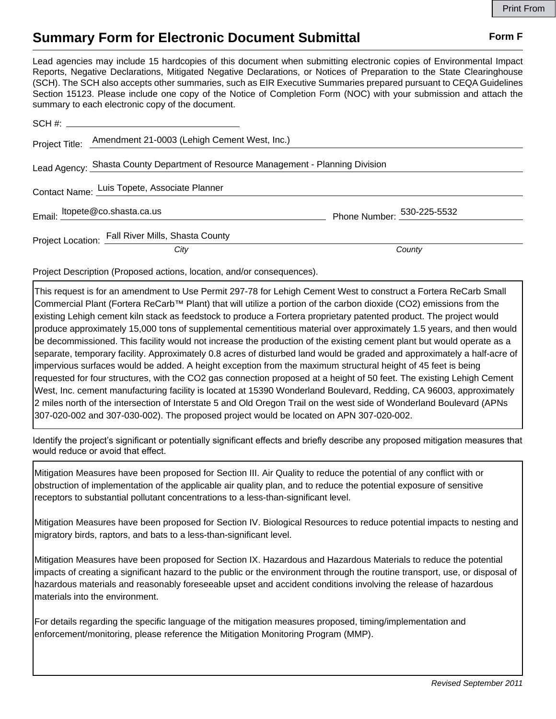## **Summary Form for Electronic Document Submittal Form F Form F**

Lead agencies may include 15 hardcopies of this document when submitting electronic copies of Environmental Impact Reports, Negative Declarations, Mitigated Negative Declarations, or Notices of Preparation to the State Clearinghouse (SCH). The SCH also accepts other summaries, such as EIR Executive Summaries prepared pursuant to CEQA Guidelines Section 15123. Please include one copy of the Notice of Completion Form (NOC) with your submission and attach the summary to each electronic copy of the document.

|                                              | Project Title: Amendment 21-0003 (Lehigh Cement West, Inc.)                      |                            |
|----------------------------------------------|----------------------------------------------------------------------------------|----------------------------|
|                                              | Lead Agency: Shasta County Department of Resource Management - Planning Division |                            |
| Contact Name: Luis Topete, Associate Planner |                                                                                  |                            |
|                                              | Email: ltopete@co.shasta.ca.us                                                   | Phone Number: 530-225-5532 |
|                                              | Project Location: Fall River Mills, Shasta County                                |                            |
|                                              | City                                                                             | County                     |

Project Description (Proposed actions, location, and/or consequences).

This request is for an amendment to Use Permit 297-78 for Lehigh Cement West to construct a Fortera ReCarb Small Commercial Plant (Fortera ReCarb™ Plant) that will utilize a portion of the carbon dioxide (CO2) emissions from the existing Lehigh cement kiln stack as feedstock to produce a Fortera proprietary patented product. The project would produce approximately 15,000 tons of supplemental cementitious material over approximately 1.5 years, and then would be decommissioned. This facility would not increase the production of the existing cement plant but would operate as a separate, temporary facility. Approximately 0.8 acres of disturbed land would be graded and approximately a half-acre of impervious surfaces would be added. A height exception from the maximum structural height of 45 feet is being requested for four structures, with the CO2 gas connection proposed at a height of 50 feet. The existing Lehigh Cement West, Inc. cement manufacturing facility is located at 15390 Wonderland Boulevard, Redding, CA 96003, approximately 2 miles north of the intersection of Interstate 5 and Old Oregon Trail on the west side of Wonderland Boulevard (APNs 307-020-002 and 307-030-002). The proposed project would be located on APN 307-020-002.

Identify the project's significant or potentially significant effects and briefly describe any proposed mitigation measures that would reduce or avoid that effect.

Mitigation Measures have been proposed for Section III. Air Quality to reduce the potential of any conflict with or obstruction of implementation of the applicable air quality plan, and to reduce the potential exposure of sensitive receptors to substantial pollutant concentrations to a less-than-significant level.

Mitigation Measures have been proposed for Section IV. Biological Resources to reduce potential impacts to nesting and migratory birds, raptors, and bats to a less-than-significant level.

Mitigation Measures have been proposed for Section IX. Hazardous and Hazardous Materials to reduce the potential impacts of creating a significant hazard to the public or the environment through the routine transport, use, or disposal of hazardous materials and reasonably foreseeable upset and accident conditions involving the release of hazardous materials into the environment.

For details regarding the specific language of the mitigation measures proposed, timing/implementation and enforcement/monitoring, please reference the Mitigation Monitoring Program (MMP).